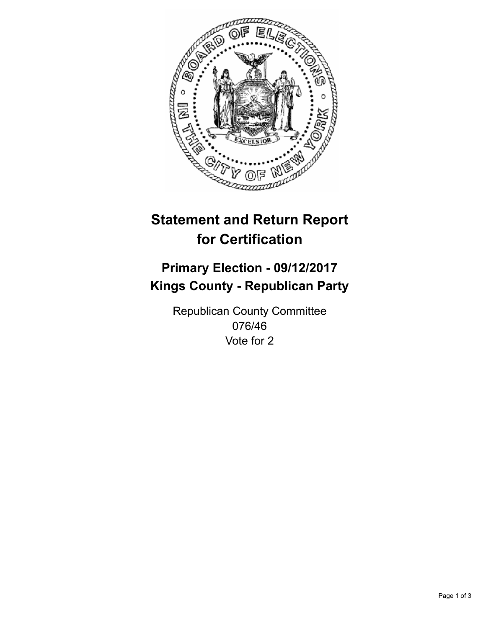

## **Statement and Return Report for Certification**

## **Primary Election - 09/12/2017 Kings County - Republican Party**

Republican County Committee 076/46 Vote for 2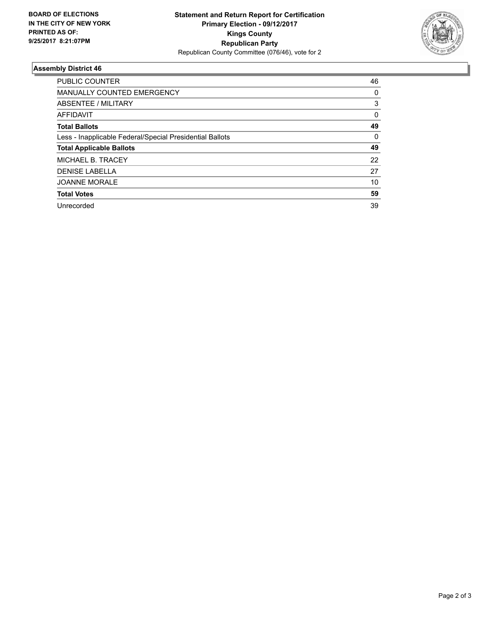

## **Assembly District 46**

| <b>PUBLIC COUNTER</b>                                    | 46 |
|----------------------------------------------------------|----|
| <b>MANUALLY COUNTED EMERGENCY</b>                        | 0  |
| ABSENTEE / MILITARY                                      | 3  |
| <b>AFFIDAVIT</b>                                         | 0  |
| <b>Total Ballots</b>                                     | 49 |
| Less - Inapplicable Federal/Special Presidential Ballots | 0  |
| <b>Total Applicable Ballots</b>                          | 49 |
| <b>MICHAEL B. TRACEY</b>                                 | 22 |
| <b>DENISE LABELLA</b>                                    | 27 |
| <b>JOANNE MORALE</b>                                     | 10 |
| <b>Total Votes</b>                                       | 59 |
| Unrecorded                                               | 39 |